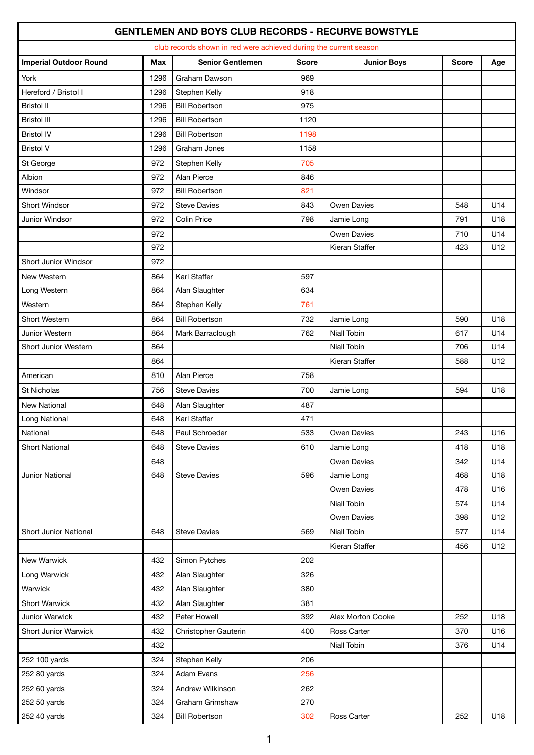## **GENTLEMEN AND BOYS CLUB RECORDS - RECURVE BOWSTYLE**

| club records shown in red were achieved during the current season |            |                         |              |                    |              |     |  |  |
|-------------------------------------------------------------------|------------|-------------------------|--------------|--------------------|--------------|-----|--|--|
|                                                                   |            |                         |              |                    |              |     |  |  |
| <b>Imperial Outdoor Round</b>                                     | <b>Max</b> | <b>Senior Gentlemen</b> | <b>Score</b> | <b>Junior Boys</b> | <b>Score</b> | Age |  |  |
| York                                                              | 1296       | Graham Dawson           | 969          |                    |              |     |  |  |
| Hereford / Bristol I                                              | 1296       | Stephen Kelly           | 918          |                    |              |     |  |  |
| <b>Bristol II</b>                                                 | 1296       | <b>Bill Robertson</b>   | 975          |                    |              |     |  |  |
| <b>Bristol III</b>                                                | 1296       | <b>Bill Robertson</b>   | 1120         |                    |              |     |  |  |
| <b>Bristol IV</b>                                                 | 1296       | <b>Bill Robertson</b>   | 1198         |                    |              |     |  |  |
| <b>Bristol V</b>                                                  | 1296       | Graham Jones            | 1158         |                    |              |     |  |  |
| St George                                                         | 972        | Stephen Kelly           | 705          |                    |              |     |  |  |
| Albion                                                            | 972        | Alan Pierce             | 846          |                    |              |     |  |  |
| Windsor                                                           | 972        | <b>Bill Robertson</b>   | 821          |                    |              |     |  |  |
| Short Windsor                                                     | 972        | <b>Steve Davies</b>     | 843          | Owen Davies        | 548          | U14 |  |  |
| Junior Windsor                                                    | 972        | Colin Price             | 798          | Jamie Long         | 791          | U18 |  |  |
|                                                                   | 972        |                         |              | <b>Owen Davies</b> | 710          | U14 |  |  |
|                                                                   | 972        |                         |              | Kieran Staffer     | 423          | U12 |  |  |
| Short Junior Windsor                                              | 972        |                         |              |                    |              |     |  |  |
| New Western                                                       | 864        | Karl Staffer            | 597          |                    |              |     |  |  |
| Long Western                                                      | 864        | Alan Slaughter          | 634          |                    |              |     |  |  |
| Western                                                           | 864        | Stephen Kelly           | 761          |                    |              |     |  |  |
| Short Western                                                     | 864        | <b>Bill Robertson</b>   | 732          | Jamie Long         | 590          | U18 |  |  |
| Junior Western                                                    | 864        | Mark Barraclough        | 762          | Niall Tobin        | 617          | U14 |  |  |
| Short Junior Western                                              | 864        |                         |              | <b>Niall Tobin</b> | 706          | U14 |  |  |
|                                                                   | 864        |                         |              | Kieran Staffer     | 588          | U12 |  |  |
| American                                                          | 810        | Alan Pierce             | 758          |                    |              |     |  |  |
| St Nicholas                                                       | 756        | <b>Steve Davies</b>     | 700          | Jamie Long         | 594          | U18 |  |  |
| <b>New National</b>                                               | 648        | Alan Slaughter          | 487          |                    |              |     |  |  |
| Long National                                                     | 648        | Karl Staffer            | 471          |                    |              |     |  |  |
| National                                                          | 648        | Paul Schroeder          | 533          | Owen Davies        | 243          | U16 |  |  |
| <b>Short National</b>                                             | 648        | <b>Steve Davies</b>     | 610          | Jamie Long         | 418          | U18 |  |  |
|                                                                   | 648        |                         |              | Owen Davies        | 342          | U14 |  |  |
| Junior National                                                   | 648        | <b>Steve Davies</b>     | 596          | Jamie Long         | 468          | U18 |  |  |
|                                                                   |            |                         |              | Owen Davies        | 478          | U16 |  |  |
|                                                                   |            |                         |              | Niall Tobin        | 574          | U14 |  |  |
|                                                                   |            |                         |              | Owen Davies        | 398          | U12 |  |  |
| Short Junior National                                             | 648        | <b>Steve Davies</b>     | 569          | Niall Tobin        | 577          | U14 |  |  |
|                                                                   |            |                         |              | Kieran Staffer     | 456          | U12 |  |  |
| New Warwick                                                       | 432        | Simon Pytches           | 202          |                    |              |     |  |  |
| Long Warwick                                                      | 432        | Alan Slaughter          | 326          |                    |              |     |  |  |
| Warwick                                                           | 432        | Alan Slaughter          | 380          |                    |              |     |  |  |
| Short Warwick                                                     | 432        | Alan Slaughter          | 381          |                    |              |     |  |  |
| Junior Warwick                                                    | 432        | Peter Howell            | 392          | Alex Morton Cooke  | 252          | U18 |  |  |
| Short Junior Warwick                                              | 432        | Christopher Gauterin    | 400          | Ross Carter        | 370          | U16 |  |  |
|                                                                   | 432        |                         |              | Niall Tobin        | 376          | U14 |  |  |
| 252 100 yards                                                     | 324        | Stephen Kelly           | 206          |                    |              |     |  |  |
| 252 80 yards                                                      | 324        | Adam Evans              | 256          |                    |              |     |  |  |
|                                                                   | 324        | Andrew Wilkinson        |              |                    |              |     |  |  |
| 252 60 yards<br>252 50 yards                                      | 324        | Graham Grimshaw         | 262<br>270   |                    |              |     |  |  |
| 252 40 yards                                                      | 324        | <b>Bill Robertson</b>   | 302          | Ross Carter        | 252          | U18 |  |  |
|                                                                   |            |                         |              |                    |              |     |  |  |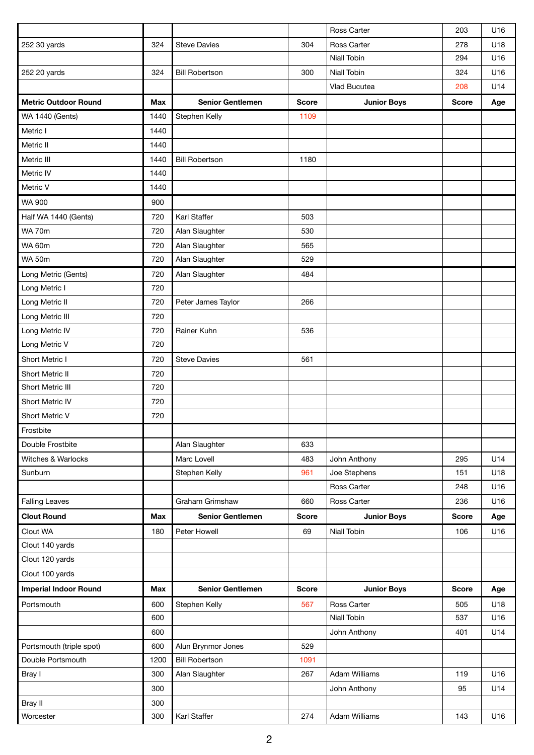|                              |            |                         |              | Ross Carter          | 203          | U16 |
|------------------------------|------------|-------------------------|--------------|----------------------|--------------|-----|
| 252 30 yards                 | 324        | <b>Steve Davies</b>     | 304          | Ross Carter          | 278          | U18 |
|                              |            |                         |              | <b>Niall Tobin</b>   | 294          | U16 |
| 252 20 yards                 | 324        | <b>Bill Robertson</b>   | 300          | Niall Tobin          | 324          | U16 |
|                              |            |                         |              | Vlad Bucutea         | 208          | U14 |
| <b>Metric Outdoor Round</b>  | <b>Max</b> | <b>Senior Gentlemen</b> | <b>Score</b> | <b>Junior Boys</b>   | <b>Score</b> | Age |
| <b>WA 1440 (Gents)</b>       | 1440       | Stephen Kelly           | 1109         |                      |              |     |
| Metric I                     | 1440       |                         |              |                      |              |     |
| Metric II                    | 1440       |                         |              |                      |              |     |
| Metric III                   | 1440       | <b>Bill Robertson</b>   | 1180         |                      |              |     |
| Metric IV                    | 1440       |                         |              |                      |              |     |
| Metric V                     | 1440       |                         |              |                      |              |     |
| <b>WA 900</b>                | 900        |                         |              |                      |              |     |
| Half WA 1440 (Gents)         | 720        | Karl Staffer            | 503          |                      |              |     |
| <b>WA 70m</b>                | 720        | Alan Slaughter          | 530          |                      |              |     |
| <b>WA 60m</b>                | 720        | Alan Slaughter          | 565          |                      |              |     |
| <b>WA 50m</b>                | 720        | Alan Slaughter          | 529          |                      |              |     |
| Long Metric (Gents)          | 720        | Alan Slaughter          | 484          |                      |              |     |
| Long Metric I                | 720        |                         |              |                      |              |     |
| Long Metric II               | 720        | Peter James Taylor      | 266          |                      |              |     |
| Long Metric III              | 720        |                         |              |                      |              |     |
| Long Metric IV               | 720        | Rainer Kuhn             | 536          |                      |              |     |
| Long Metric V                | 720        |                         |              |                      |              |     |
| Short Metric I               | 720        | <b>Steve Davies</b>     | 561          |                      |              |     |
| Short Metric II              | 720        |                         |              |                      |              |     |
| Short Metric III             | 720        |                         |              |                      |              |     |
| Short Metric IV              | 720        |                         |              |                      |              |     |
| Short Metric V               | 720        |                         |              |                      |              |     |
| Frostbite                    |            |                         |              |                      |              |     |
| Double Frostbite             |            | Alan Slaughter          | 633          |                      |              |     |
| Witches & Warlocks           |            | Marc Lovell             | 483          | John Anthony         | 295          | U14 |
| Sunburn                      |            | Stephen Kelly           | 961          | Joe Stephens         | 151          | U18 |
|                              |            |                         |              | Ross Carter          | 248          | U16 |
| <b>Falling Leaves</b>        |            | Graham Grimshaw         | 660          | Ross Carter          | 236          | U16 |
| <b>Clout Round</b>           | Max        | <b>Senior Gentlemen</b> | <b>Score</b> | <b>Junior Boys</b>   | <b>Score</b> | Age |
| Clout WA                     | 180        | Peter Howell            | 69           | Niall Tobin          | 106          | U16 |
| Clout 140 yards              |            |                         |              |                      |              |     |
| Clout 120 yards              |            |                         |              |                      |              |     |
| Clout 100 yards              |            |                         |              |                      |              |     |
| <b>Imperial Indoor Round</b> | Max        | <b>Senior Gentlemen</b> | <b>Score</b> | <b>Junior Boys</b>   | <b>Score</b> | Age |
| Portsmouth                   | 600        | Stephen Kelly           | 567          | Ross Carter          | 505          | U18 |
|                              | 600        |                         |              | Niall Tobin          | 537          | U16 |
|                              | 600        |                         |              | John Anthony         | 401          | U14 |
| Portsmouth (triple spot)     | 600        | Alun Brynmor Jones      | 529          |                      |              |     |
| Double Portsmouth            | 1200       | <b>Bill Robertson</b>   | 1091         |                      |              |     |
| Bray I                       | 300        | Alan Slaughter          | 267          | <b>Adam Williams</b> | 119          | U16 |
|                              | 300        |                         |              | John Anthony         | 95           | U14 |
| Bray II                      | 300        |                         |              |                      |              |     |
| Worcester                    | 300        | Karl Staffer            | 274          | Adam Williams        | 143          | U16 |